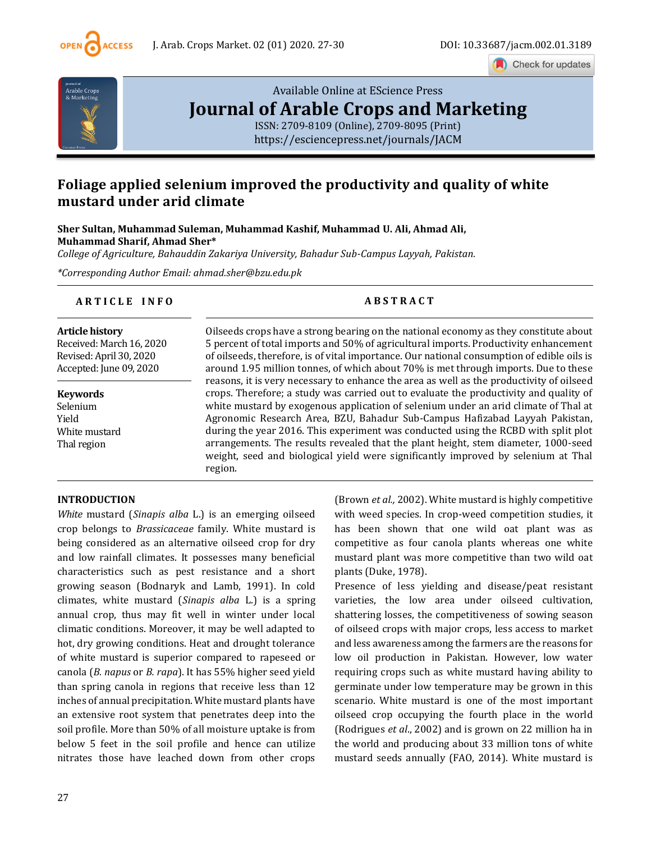

Check for updates



# [Available Online at EScience Press](https://esciencepress.net/journals/JACM) **[Journal of Arable Crops and Marketing](https://esciencepress.net/journals/JACM)**

[ISSN: 2709-8109 \(Online\), 2709-8095 \(Print\)](https://esciencepress.net/journals/JACM) <https://esciencepress.net/journals/JACM>

# **Foliage applied selenium improved the productivity and quality of white mustard under arid climate**

**Sher Sultan, Muhammad Suleman, Muhammad Kashif, Muhammad U. Ali, Ahmad Ali, Muhammad Sharif, Ahmad Sher\***

*College of Agriculture, Bahauddin Zakariya University, Bahadur Sub-Campus Layyah, Pakistan.*

*\*Corresponding Author Email: ahmad.sher@bzu.edu.pk*

## **A R T I C L E I N F O A B S T R A C T**

**Article history** Received: March 16, 2020 Revised: April 30, 2020 Accepted: June 09, 2020

**Keywords** Selenium Yield White mustard Thal region

Oilseeds crops have a strong bearing on the national economy as they constitute about 5 percent of total imports and 50% of agricultural imports. Productivity enhancement of oilseeds, therefore, is of vital importance. Our national consumption of edible oils is around 1.95 million tonnes, of which about 70% is met through imports. Due to these reasons, it is very necessary to enhance the area as well as the productivity of oilseed crops. Therefore; a study was carried out to evaluate the productivity and quality of white mustard by exogenous application of selenium under an arid climate of Thal at Agronomic Research Area, BZU, Bahadur Sub-Campus Hafizabad Layyah Pakistan, during the year 2016. This experiment was conducted using the RCBD with split plot arrangements. The results revealed that the plant height, stem diameter, 1000-seed weight, seed and biological yield were significantly improved by selenium at Thal region.

## **INTRODUCTION**

*White* mustard (*Sinapis alba* L.) is an emerging oilseed crop belongs to *Brassicaceae* family. White mustard is being considered as an alternative oilseed crop for dry and low rainfall climates. It possesses many beneficial characteristics such as pest resistance and a short growing season (Bodnaryk and Lamb, 1991). In cold climates, white mustard (*Sinapis alba* L.) is a spring annual crop, thus may fit well in winter under local climatic conditions. Moreover, it may be well adapted to hot, dry growing conditions. Heat and drought tolerance of white mustard is superior compared to rapeseed or canola (*B. napus* or *B. rapa*). It has 55% higher seed yield than spring canola in regions that receive less than 12 inches of annual precipitation. White mustard plants have an extensive root system that penetrates deep into the soil profile. More than 50% of all moisture uptake is from below 5 feet in the soil profile and hence can utilize nitrates those have leached down from other crops

(Brown *et al.,* 2002). White mustard is highly competitive with weed species. In crop-weed competition studies, it has been shown that one wild oat plant was as competitive as four canola plants whereas one white mustard plant was more competitive than two wild oat plants (Duke, 1978).

Presence of less yielding and disease/peat resistant varieties, the low area under oilseed cultivation, shattering losses, the competitiveness of sowing season of oilseed crops with major crops, less access to market and less awareness among the farmers are the reasons for low oil production in Pakistan. However, low water requiring crops such as white mustard having ability to germinate under low temperature may be grown in this scenario. White mustard is one of the most important oilseed crop occupying the fourth place in the world (Rodrigues *et al*., 2002) and is grown on 22 million ha in the world and producing about 33 million tons of white mustard seeds annually (FAO, 2014). White mustard is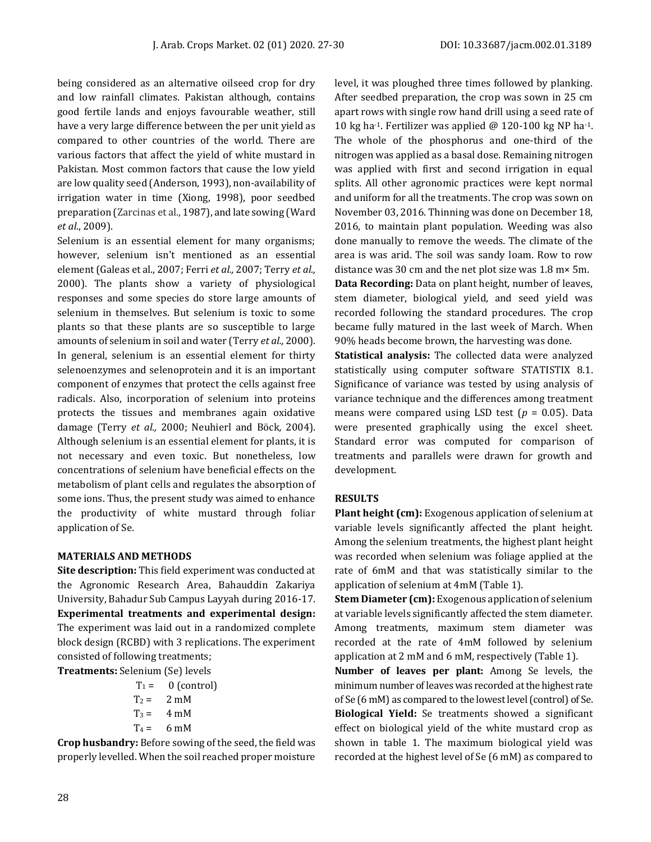being considered as an alternative oilseed crop for dry and low rainfall climates. Pakistan although, contains good fertile lands and enjoys favourable weather, still have a very large difference between the per unit yield as compared to other countries of the world. There are various factors that affect the yield of white mustard in Pakistan. Most common factors that cause the low yield are low quality seed (Anderson, 1993), non-availability of irrigation water in time (Xiong, 1998), poor seedbed preparation (Zarcinas et al., 1987), and late sowing (Ward *et al*., 2009).

Selenium is an essential element for many organisms; however, selenium isn't mentioned as an essential element (Galeas et al., 2007; Ferri *et al.,* 2007; Terry *et al.,*  2000). The plants show a variety of physiological responses and some species do store large amounts of selenium in themselves. But selenium is toxic to some plants so that these plants are so susceptible to large amounts of selenium in soil and water (Terry *et al.,* 2000). In general, selenium is an essential element for thirty selenoenzymes and selenoprotein and it is an important component of enzymes that protect the cells against free radicals. Also, incorporation of selenium into proteins protects the tissues and membranes again oxidative damage (Terry *et al.,* 2000; Neuhierl and Böck*,* 2004). Although selenium is an essential element for plants, it is not necessary and even toxic. But nonetheless, low concentrations of selenium have beneficial effects on the metabolism of plant cells and regulates the absorption of some ions. Thus, the present study was aimed to enhance the productivity of white mustard through foliar application of Se.

#### **MATERIALS AND METHODS**

**Site description:** This field experiment was conducted at the Agronomic Research Area, Bahauddin Zakariya University, Bahadur Sub Campus Layyah during 2016-17. **Experimental treatments and experimental design:**  The experiment was laid out in a randomized complete block design (RCBD) with 3 replications. The experiment consisted of following treatments;

| <b>Treatments:</b> Selenium (Se) levels |                     |  |  |  |  |  |
|-----------------------------------------|---------------------|--|--|--|--|--|
|                                         | $T_1 = 0$ (control) |  |  |  |  |  |
| $T_2 = 2 \text{ mM}$                    |                     |  |  |  |  |  |
| $T_3 = 4 \text{ mM}$                    |                     |  |  |  |  |  |
| $T_4 = 6 \text{ mM}$                    |                     |  |  |  |  |  |

**Crop husbandry:** Before sowing of the seed, the field was properly levelled. When the soil reached proper moisture level, it was ploughed three times followed by planking. After seedbed preparation, the crop was sown in 25 cm apart rows with single row hand drill using a seed rate of 10 kg ha-1. Fertilizer was applied @ 120-100 kg NP ha-1. The whole of the phosphorus and one-third of the nitrogen was applied as a basal dose. Remaining nitrogen was applied with first and second irrigation in equal splits. All other agronomic practices were kept normal and uniform for all the treatments. The crop was sown on November 03, 2016. Thinning was done on December 18, 2016, to maintain plant population. Weeding was also done manually to remove the weeds. The climate of the area is was arid. The soil was sandy loam. Row to row distance was 30 cm and the net plot size was 1.8 m× 5m. **Data Recording:** Data on plant height, number of leaves, stem diameter, biological yield, and seed yield was recorded following the standard procedures. The crop became fully matured in the last week of March. When

**Statistical analysis:** The collected data were analyzed statistically using computer software STATISTIX 8.1. Significance of variance was tested by using analysis of variance technique and the differences among treatment means were compared using LSD test (*p* = 0.05). Data were presented graphically using the excel sheet. Standard error was computed for comparison of treatments and parallels were drawn for growth and development.

90% heads become brown, the harvesting was done.

#### **RESULTS**

**Plant height (cm):** Exogenous application of selenium at variable levels significantly affected the plant height. Among the selenium treatments, the highest plant height was recorded when selenium was foliage applied at the rate of 6mM and that was statistically similar to the application of selenium at 4mM (Table 1).

**Stem Diameter (cm):** Exogenous application of selenium at variable levels significantly affected the stem diameter. Among treatments, maximum stem diameter was recorded at the rate of 4mM followed by selenium application at 2 mM and 6 mM, respectively (Table 1).

**Number of leaves per plant:** Among Se levels, the minimum number of leaves was recorded at the highest rate of Se (6 mM) as compared to the lowest level (control) of Se. **Biological Yield:** Se treatments showed a significant effect on biological yield of the white mustard crop as shown in table 1. The maximum biological yield was recorded at the highest level of Se (6 mM) as compared to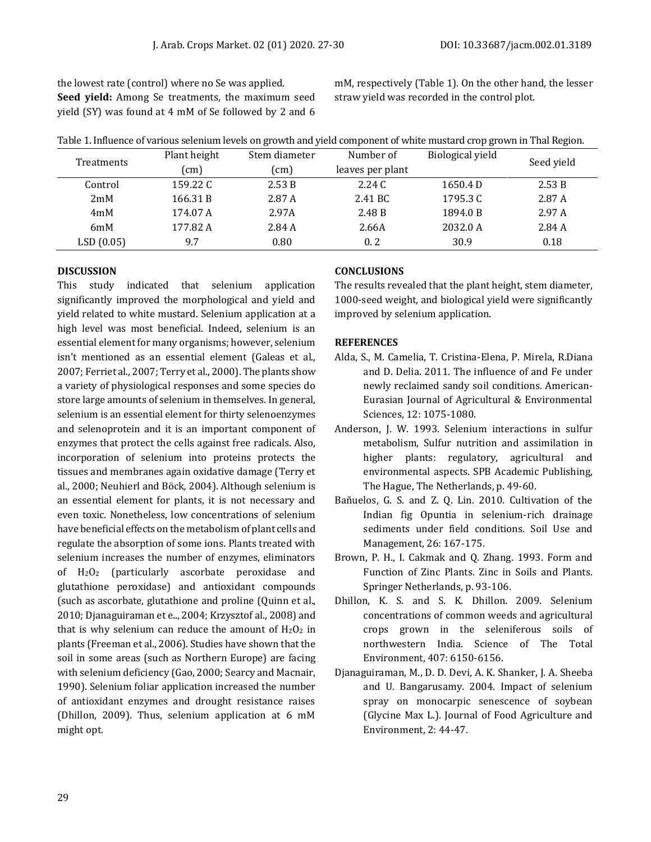the lowest rate (control) where no Se was applied. **Seed yield:** Among Se treatments, the maximum seed yield (SY) was found at 4 mM of Se followed by 2 and 6 mM, respectively (Table 1). On the other hand, the lesser straw yield was recorded in the control plot.

| Table 1. Influence of various selenium levels on growth and yield component of white mustard crop grown in Thal Region. |              |               |                  |                  |            |  |
|-------------------------------------------------------------------------------------------------------------------------|--------------|---------------|------------------|------------------|------------|--|
| Treatments                                                                                                              | Plant height | Stem diameter | Number of        | Biological yield | Seed yield |  |
|                                                                                                                         | (cm)         | (cm)          | leaves per plant |                  |            |  |
| Control                                                                                                                 | 159.22 C     | 2.53B         | 2.24C            | 1650.4 D         | 2.53 B     |  |
| 2mM                                                                                                                     | 166.31 B     | 2.87 A        | 2.41 BC          | 1795.3 C         | 2.87 A     |  |
| 4mM                                                                                                                     | 174.07 A     | 2.97A         | 2.48 B           | 1894.0 B         | 2.97A      |  |
| 6mM                                                                                                                     | 177.82 A     | 2.84 A        | 2.66A            | 2032.0 A         | 2.84 A     |  |
| LSD(0.05)                                                                                                               | 9.7          | 0.80          | 0.2              | 30.9             | 0.18       |  |

#### **DISCUSSION**

This study indicated that selenium application significantly improved the morphological and yield and yield related to white mustard. Selenium application at a high level was most beneficial. Indeed, selenium is an essential element for many organisms; however, selenium isn't mentioned as an essential element (Galeas et al., 2007; Ferriet al., 2007; Terry et al., 2000). The plants show a variety of physiological responses and some species do store large amounts of selenium in themselves. In general, selenium is an essential element for thirty selenoenzymes and selenoprotein and it is an important component of enzymes that protect the cells against free radicals. Also, incorporation of selenium into proteins protects the tissues and membranes again oxidative damage (Terry et al., 2000; Neuhierl and Böck*,* 2004). Although selenium is an essential element for plants, it is not necessary and even toxic. Nonetheless, low concentrations of selenium have beneficial effects on the metabolism of plant cells and regulate the absorption of some ions. Plants treated with selenium increases the number of enzymes, eliminators of H2O<sup>2</sup> (particularly ascorbate peroxidase and glutathione peroxidase) and antioxidant compounds (such as ascorbate, glutathione and proline (Quinn et al., 2010; Djanaguiraman et e.., 2004; Krzysztof al., 2008) and that is why selenium can reduce the amount of  $H_2O_2$  in plants (Freeman et al., 2006). Studies have shown that the soil in some areas (such as Northern Europe) are facing with selenium deficiency (Gao, 2000; Searcy and Macnair, 1990). Selenium foliar application increased the number of antioxidant enzymes and drought resistance raises (Dhillon, 2009). Thus, selenium application at 6 mM might opt.

### **CONCLUSIONS**

The results revealed that the plant height, stem diameter, 1000-seed weight, and biological yield were significantly improved by selenium application.

### **REFERENCES**

- Alda, S., M. Camelia, T. Cristina-Elena, P. Mirela, R.Diana and D. Delia. 2011. The influence of and Fe under newly reclaimed sandy soil conditions. American-Eurasian Journal of Agricultural & Environmental Sciences, 12: 1075-1080.
- Anderson, J. W. 1993. Selenium interactions in sulfur metabolism, Sulfur nutrition and assimilation in higher plants: regulatory, agricultural and environmental aspects. SPB Academic Publishing, The Hague, The Netherlands, p. 49-60.
- Bañuelos, G. S. and Z. Q. Lin. 2010. Cultivation of the Indian fig Opuntia in selenium-rich drainage sediments under field conditions. Soil Use and Management, 26: 167-175.
- Brown, P. H., I. Cakmak and Q. Zhang. 1993. Form and Function of Zinc Plants. Zinc in Soils and Plants. Springer Netherlands, p. 93-106.
- Dhillon, K. S. and S. K. Dhillon. 2009. Selenium concentrations of common weeds and agricultural crops grown in the seleniferous soils of northwestern India. Science of The Total Environment, 407: 6150-6156.
- Djanaguiraman, M., D. D. Devi, A. K. Shanker, J. A. Sheeba and U. Bangarusamy. 2004. Impact of selenium spray on monocarpic senescence of soybean (Glycine Max L.). Journal of Food Agriculture and Environment, 2: 44-47.